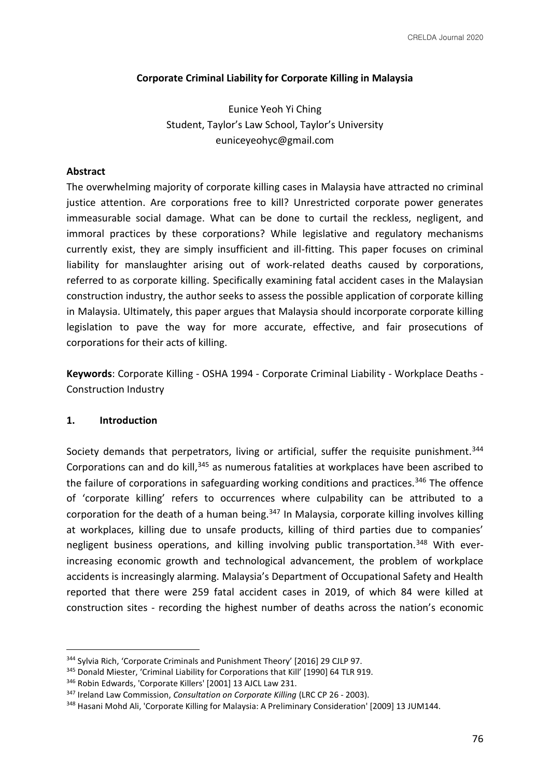# **Corporate Criminal Liability for Corporate Killing in Malaysia**

Eunice Yeoh Yi Ching Student, Taylor's Law School, Taylor's University euniceyeohyc@gmail.com

# **Abstract**

The overwhelming majority of corporate killing cases in Malaysia have attracted no criminal justice attention. Are corporations free to kill? Unrestricted corporate power generates immeasurable social damage. What can be done to curtail the reckless, negligent, and immoral practices by these corporations? While legislative and regulatory mechanisms currently exist, they are simply insufficient and ill-fitting. This paper focuses on criminal liability for manslaughter arising out of work-related deaths caused by corporations, referred to as corporate killing. Specifically examining fatal accident cases in the Malaysian construction industry, the author seeks to assess the possible application of corporate killing in Malaysia. Ultimately, this paper argues that Malaysia should incorporate corporate killing legislation to pave the way for more accurate, effective, and fair prosecutions of corporations for their acts of killing.

**Keywords**: Corporate Killing - OSHA 1994 - Corporate Criminal Liability - Workplace Deaths - Construction Industry

## **1. Introduction**

Society demands that perpetrators, living or artificial, suffer the requisite punishment.<sup>344</sup> Corporations can and do kill,<sup>345</sup> as numerous fatalities at workplaces have been ascribed to the failure of corporations in safeguarding working conditions and practices.<sup>346</sup> The offence of 'corporate killing' refers to occurrences where culpability can be attributed to a corporation for the death of a human being.<sup>347</sup> In Malaysia, corporate killing involves killing at workplaces, killing due to unsafe products, killing of third parties due to companies' negligent business operations, and killing involving public transportation.<sup>348</sup> With everincreasing economic growth and technological advancement, the problem of workplace accidents is increasingly alarming. Malaysia's Department of Occupational Safety and Health reported that there were 259 fatal accident cases in 2019, of which 84 were killed at construction sites - recording the highest number of deaths across the nation's economic

<sup>&</sup>lt;sup>344</sup> Sylvia Rich, 'Corporate Criminals and Punishment Theory' [2016] 29 CJLP 97.

<sup>&</sup>lt;sup>345</sup> Donald Miester, 'Criminal Liability for Corporations that Kill' [1990] 64 TLR 919.

<sup>346</sup> Robin Edwards, 'Corporate Killers' [2001] 13 AJCL Law 231.

<sup>347</sup> Ireland Law Commission, *Consultation on Corporate Killing* (LRC CP 26 - 2003).

<sup>&</sup>lt;sup>348</sup> Hasani Mohd Ali, 'Corporate Killing for Malaysia: A Preliminary Consideration' [2009] 13 JUM144.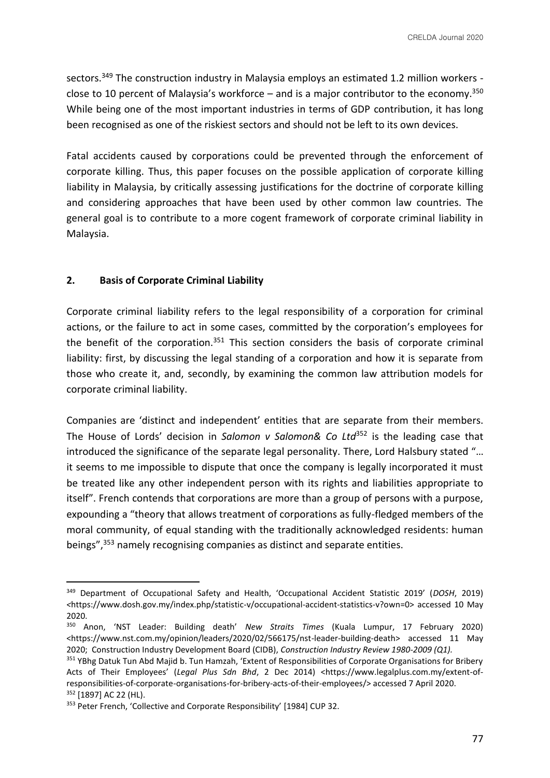sectors.<sup>349</sup> The construction industry in Malaysia employs an estimated 1.2 million workers close to 10 percent of Malaysia's workforce – and is a major contributor to the economy.<sup>350</sup> While being one of the most important industries in terms of GDP contribution, it has long been recognised as one of the riskiest sectors and should not be left to its own devices.

Fatal accidents caused by corporations could be prevented through the enforcement of corporate killing. Thus, this paper focuses on the possible application of corporate killing liability in Malaysia, by critically assessing justifications for the doctrine of corporate killing and considering approaches that have been used by other common law countries. The general goal is to contribute to a more cogent framework of corporate criminal liability in Malaysia.

# **2. Basis of Corporate Criminal Liability**

Corporate criminal liability refers to the legal responsibility of a corporation for criminal actions, or the failure to act in some cases, committed by the corporation's employees for the benefit of the corporation. $351$  This section considers the basis of corporate criminal liability: first, by discussing the legal standing of a corporation and how it is separate from those who create it, and, secondly, by examining the common law attribution models for corporate criminal liability.

Companies are 'distinct and independent' entities that are separate from their members. The House of Lords' decision in *Salomon v Salomon& Co Ltd*<sup>352</sup> is the leading case that introduced the significance of the separate legal personality. There, Lord Halsbury stated "… it seems to me impossible to dispute that once the company is legally incorporated it must be treated like any other independent person with its rights and liabilities appropriate to itself". French contends that corporations are more than a group of persons with a purpose, expounding a "theory that allows treatment of corporations as fully-fledged members of the moral community, of equal standing with the traditionally acknowledged residents: human beings",<sup>353</sup> namely recognising companies as distinct and separate entities.

<sup>349</sup> Department of Occupational Safety and Health, 'Occupational Accident Statistic 2019' (*DOSH*, 2019) *<*https://www.dosh.gov.my/index.php/statistic-v/occupational-accident-statistics-v?own=0> accessed 10 May 2020.

<sup>350</sup> Anon, 'NST Leader: Building death' *New Straits Times* (Kuala Lumpur, 17 February 2020) <https://www.nst.com.my/opinion/leaders/2020/02/566175/nst-leader-building-death> accessed 11 May 2020; Construction Industry Development Board (CIDB), *Construction Industry Review 1980-2009 (Q1).*

<sup>351</sup> YBhg Datuk Tun Abd Majid b. Tun Hamzah, 'Extent of Responsibilities of Corporate Organisations for Bribery Acts of Their Employees' (*Legal Plus Sdn Bhd*, 2 Dec 2014) <https://www.legalplus.com.my/extent-ofresponsibilities-of-corporate-organisations-for-bribery-acts-of-their-employees/> accessed 7 April 2020. 352 [1897] AC 22 (HL).

<sup>&</sup>lt;sup>353</sup> Peter French, 'Collective and Corporate Responsibility' [1984] CUP 32.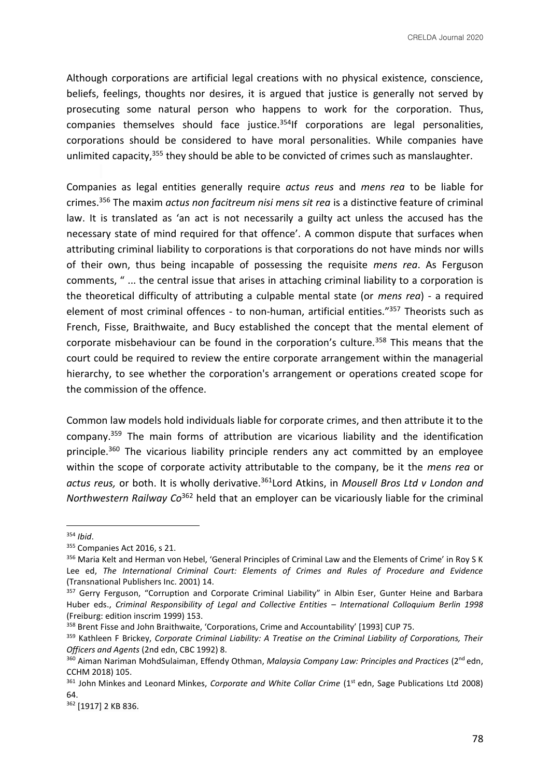Although corporations are artificial legal creations with no physical existence, conscience, beliefs, feelings, thoughts nor desires, it is argued that justice is generally not served by prosecuting some natural person who happens to work for the corporation. Thus, companies themselves should face justice. $354$ If corporations are legal personalities, corporations should be considered to have moral personalities. While companies have unlimited capacity,<sup>355</sup> they should be able to be convicted of crimes such as manslaughter.

Companies as legal entities generally require *actus reus* and *mens rea* to be liable for crimes.<sup>356</sup> The maxim *actus non facitreum nisi mens sit rea* is a distinctive feature of criminal law. It is translated as 'an act is not necessarily a guilty act unless the accused has the necessary state of mind required for that offence'. A common dispute that surfaces when attributing criminal liability to corporations is that corporations do not have minds nor wills of their own, thus being incapable of possessing the requisite *mens rea*. As Ferguson comments, " ... the central issue that arises in attaching criminal liability to a corporation is the theoretical difficulty of attributing a culpable mental state (or *mens rea*) - a required element of most criminal offences - to non-human, artificial entities."<sup>357</sup> Theorists such as French, Fisse, Braithwaite, and Bucy established the concept that the mental element of corporate misbehaviour can be found in the corporation's culture.<sup>358</sup> This means that the court could be required to review the entire corporate arrangement within the managerial hierarchy, to see whether the corporation's arrangement or operations created scope for the commission of the offence.

Common law models hold individuals liable for corporate crimes, and then attribute it to the company.<sup>359</sup> The main forms of attribution are vicarious liability and the identification principle.<sup>360</sup> The vicarious liability principle renders any act committed by an employee within the scope of corporate activity attributable to the company, be it the *mens rea* or *actus reus,* or both. It is wholly derivative.<sup>361</sup>Lord Atkins, in *Mousell Bros Ltd v London and Northwestern Railway Co*<sup>362</sup> held that an employer can be vicariously liable for the criminal

<sup>362</sup> [1917] 2 KB 836.

<sup>354</sup> *Ibid*.

<sup>355</sup> Companies Act 2016, s 21.

<sup>356</sup> Maria Kelt and Herman von Hebel, 'General Principles of Criminal Law and the Elements of Crime' in Roy S K Lee ed, *The International Criminal Court: Elements of Crimes and Rules of Procedure and Evidence*  (Transnational Publishers Inc. 2001) 14.

<sup>&</sup>lt;sup>357</sup> Gerry Ferguson, "Corruption and Corporate Criminal Liability" in Albin Eser, Gunter Heine and Barbara Huber eds., *Criminal Responsibility of Legal and Collective Entities - International Colloquium Berlin 1998* (Freiburg: edition inscrim 1999) 153.

<sup>358</sup> Brent Fisse and John Braithwaite, 'Corporations, Crime and Accountability' [1993] CUP 75.

<sup>359</sup> Kathleen F Brickey, *Corporate Criminal Liability: A Treatise on the Criminal Liability of Corporations, Their Officers and Agents* (2nd edn, CBC 1992) 8.

<sup>360</sup> Aiman Nariman MohdSulaiman, Effendy Othman, *Malaysia Company Law: Principles and Practices* (2nd edn, CCHM 2018) 105.

<sup>&</sup>lt;sup>361</sup> John Minkes and Leonard Minkes, *Corporate and White Collar Crime* (1<sup>st</sup> edn, Sage Publications Ltd 2008) 64.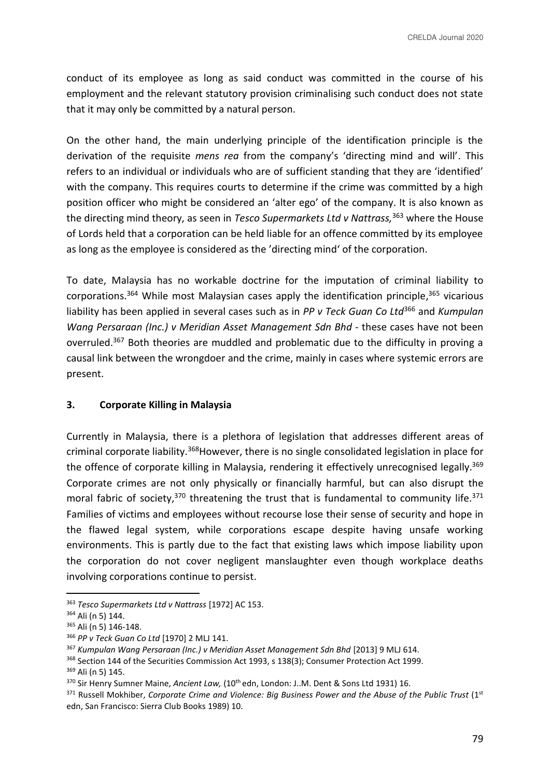conduct of its employee as long as said conduct was committed in the course of his employment and the relevant statutory provision criminalising such conduct does not state that it may only be committed by a natural person.

On the other hand, the main underlying principle of the identification principle is the derivation of the requisite *mens rea* from the company's 'directing mind and will'. This refers to an individual or individuals who are of sufficient standing that they are 'identified' with the company. This requires courts to determine if the crime was committed by a high position officer who might be considered an 'alter ego' of the company. It is also known as the directing mind theory, as seen in *Tesco Supermarkets Ltd v Nattrass,*<sup>363</sup> where the House of Lords held that a corporation can be held liable for an offence committed by its employee as long as the employee is considered as the 'directing mind' of the corporation.

To date, Malaysia has no workable doctrine for the imputation of criminal liability to corporations.<sup>364</sup> While most Malaysian cases apply the identification principle, <sup>365</sup> vicarious liability has been applied in several cases such as in *PP v Teck Guan Co Ltd*<sup>366</sup> and *Kumpulan Wang Persaraan (Inc.) v Meridian Asset Management Sdn Bhd* - these cases have not been overruled.<sup>367</sup> Both theories are muddled and problematic due to the difficulty in proving a causal link between the wrongdoer and the crime, mainly in cases where systemic errors are present.

# **3. Corporate Killing in Malaysia**

Currently in Malaysia, there is a plethora of legislation that addresses different areas of criminal corporate liability.<sup>368</sup> However, there is no single consolidated legislation in place for the offence of corporate killing in Malaysia, rendering it effectively unrecognised legally.<sup>369</sup> Corporate crimes are not only physically or financially harmful, but can also disrupt the moral fabric of society, $370$  threatening the trust that is fundamental to community life. $371$ Families of victims and employees without recourse lose their sense of security and hope in the flawed legal system, while corporations escape despite having unsafe working environments. This is partly due to the fact that existing laws which impose liability upon the corporation do not cover negligent manslaughter even though workplace deaths involving corporations continue to persist.

<sup>363</sup> *Tesco Supermarkets Ltd v Nattrass* [1972] AC 153.

<sup>364</sup> Ali (n 5) 144.

<sup>365</sup> Ali (n 5) 146-148.

<sup>366</sup> *PP v Teck Guan Co Ltd* [1970] 2 MLJ 141.

<sup>367</sup> *Kumpulan Wang Persaraan (Inc.) v Meridian Asset Management Sdn Bhd* [2013] 9 MLJ 614.

<sup>&</sup>lt;sup>368</sup> Section 144 of the Securities Commission Act 1993, s 138(3); Consumer Protection Act 1999. <sup>369</sup> Ali (n 5) 145.

<sup>370</sup> Sir Henry Sumner Maine, *Ancient Law,* (10th edn, London: J..M. Dent & Sons Ltd 1931) 16.

<sup>&</sup>lt;sup>371</sup> Russell Mokhiber, *Corporate Crime and Violence: Big Business Power and the Abuse of the Public Trust* (1st edn, San Francisco: Sierra Club Books 1989) 10.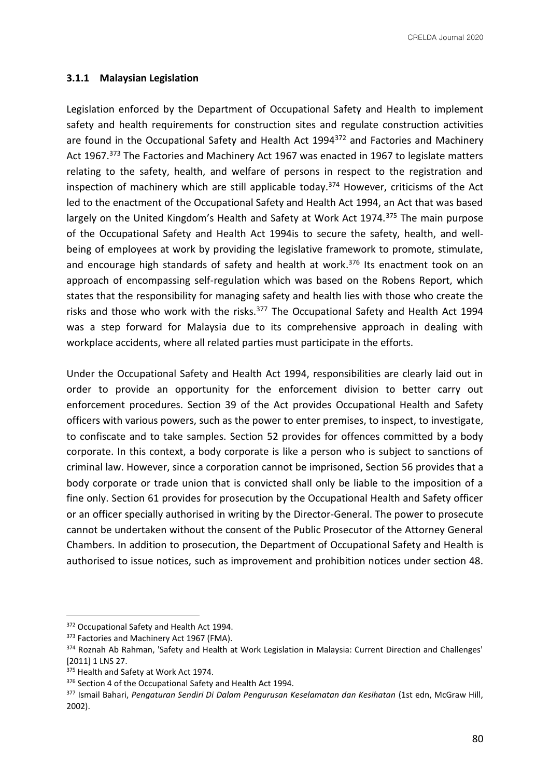CRELDA Journal 2020

## **3.1.1 Malaysian Legislation**

Legislation enforced by the Department of Occupational Safety and Health to implement safety and health requirements for construction sites and regulate construction activities are found in the Occupational Safety and Health Act 1994<sup>372</sup> and Factories and Machinery Act 1967.<sup>373</sup> The Factories and Machinery Act 1967 was enacted in 1967 to legislate matters relating to the safety, health, and welfare of persons in respect to the registration and inspection of machinery which are still applicable today.<sup>374</sup> However, criticisms of the Act led to the enactment of the Occupational Safety and Health Act 1994, an Act that was based largely on the United Kingdom's Health and Safety at Work Act 1974.<sup>375</sup> The main purpose of the Occupational Safety and Health Act 1994is to secure the safety, health, and wellbeing of employees at work by providing the legislative framework to promote, stimulate, and encourage high standards of safety and health at work.<sup>376</sup> Its enactment took on an approach of encompassing self-regulation which was based on the Robens Report, which states that the responsibility for managing safety and health lies with those who create the risks and those who work with the risks.<sup>377</sup> The Occupational Safety and Health Act 1994 was a step forward for Malaysia due to its comprehensive approach in dealing with workplace accidents, where all related parties must participate in the efforts.

Under the Occupational Safety and Health Act 1994, responsibilities are clearly laid out in order to provide an opportunity for the enforcement division to better carry out enforcement procedures. Section 39 of the Act provides Occupational Health and Safety officers with various powers, such as the power to enter premises, to inspect, to investigate, to confiscate and to take samples. Section 52 provides for offences committed by a body corporate. In this context, a body corporate is like a person who is subject to sanctions of criminal law. However, since a corporation cannot be imprisoned, Section 56 provides that a body corporate or trade union that is convicted shall only be liable to the imposition of a fine only. Section 61 provides for prosecution by the Occupational Health and Safety officer or an officer specially authorised in writing by the Director-General. The power to prosecute cannot be undertaken without the consent of the Public Prosecutor of the Attorney General Chambers. In addition to prosecution, the Department of Occupational Safety and Health is authorised to issue notices, such as improvement and prohibition notices under section 48.

<sup>372</sup> Occupational Safety and Health Act 1994.

<sup>373</sup> Factories and Machinery Act 1967 (FMA).

<sup>374</sup> Roznah Ab Rahman, 'Safety and Health at Work Legislation in Malaysia: Current Direction and Challenges' [2011] 1 LNS 27.

<sup>375</sup> Health and Safety at Work Act 1974.

<sup>376</sup> Section 4 of the Occupational Safety and Health Act 1994.

<sup>&</sup>lt;sup>377</sup> Ismail Bahari, Pengaturan Sendiri Di Dalam Pengurusan Keselamatan dan Kesihatan (1st edn, McGraw Hill, 2002).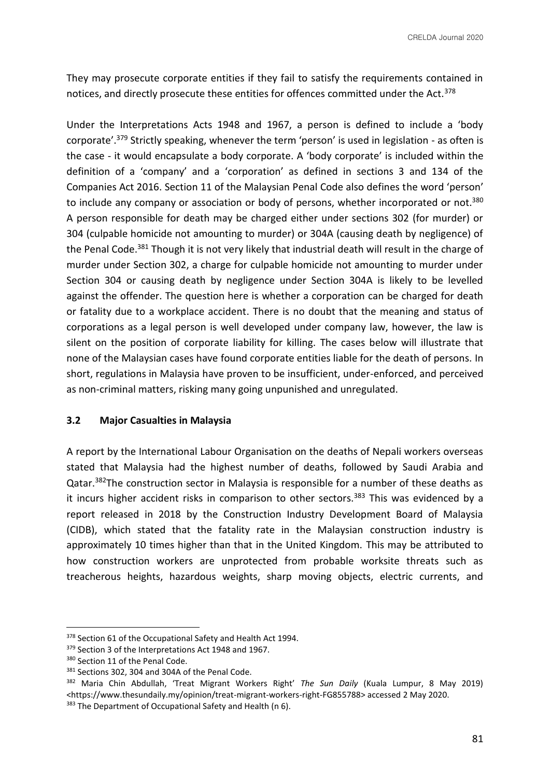They may prosecute corporate entities if they fail to satisfy the requirements contained in notices, and directly prosecute these entities for offences committed under the Act.<sup>378</sup>

Under the Interpretations Acts 1948 and 1967, a person is defined to include a 'body corporate'.<sup>379</sup> Strictly speaking, whenever the term 'person' is used in legislation - as often is the case - it would encapsulate a body corporate. A 'body corporate' is included within the definition of a 'company' and a 'corporation' as defined in sections 3 and 134 of the Companies Act 2016. Section 11 of the Malaysian Penal Code also defines the word 'person' to include any company or association or body of persons, whether incorporated or not.<sup>380</sup> A person responsible for death may be charged either under sections 302 (for murder) or 304 (culpable homicide not amounting to murder) or 304A (causing death by negligence) of the Penal Code.<sup>381</sup> Though it is not very likely that industrial death will result in the charge of murder under Section 302, a charge for culpable homicide not amounting to murder under Section 304 or causing death by negligence under Section 304A is likely to be levelled against the offender. The question here is whether a corporation can be charged for death or fatality due to a workplace accident. There is no doubt that the meaning and status of corporations as a legal person is well developed under company law, however, the law is silent on the position of corporate liability for killing. The cases below will illustrate that none of the Malaysian cases have found corporate entities liable for the death of persons. In short, regulations in Malaysia have proven to be insufficient, under-enforced, and perceived as non-criminal matters, risking many going unpunished and unregulated.

### **3.2 Major Casualties in Malaysia**

A report by the International Labour Organisation on the deaths of Nepali workers overseas stated that Malaysia had the highest number of deaths, followed by Saudi Arabia and Qatar.<sup>382</sup>The construction sector in Malaysia is responsible for a number of these deaths as it incurs higher accident risks in comparison to other sectors.<sup>383</sup> This was evidenced by a report released in 2018 by the Construction Industry Development Board of Malaysia (CIDB), which stated that the fatality rate in the Malaysian construction industry is approximately 10 times higher than that in the United Kingdom. This may be attributed to how construction workers are unprotected from probable worksite threats such as treacherous heights, hazardous weights, sharp moving objects, electric currents, and

<sup>378</sup> Section 61 of the Occupational Safety and Health Act 1994.

<sup>379</sup> Section 3 of the Interpretations Act 1948 and 1967.

<sup>380</sup> Section 11 of the Penal Code.

<sup>381</sup> Sections 302, 304 and 304A of the Penal Code.

<sup>382</sup> Maria Chin Abdullah, 'Treat Migrant Workers Right' *The Sun Daily* (Kuala Lumpur, 8 May 2019) <https://www.thesundaily.my/opinion/treat-migrant-workers-right-FG855788> accessed 2 May 2020.

<sup>383</sup> The Department of Occupational Safety and Health (n 6).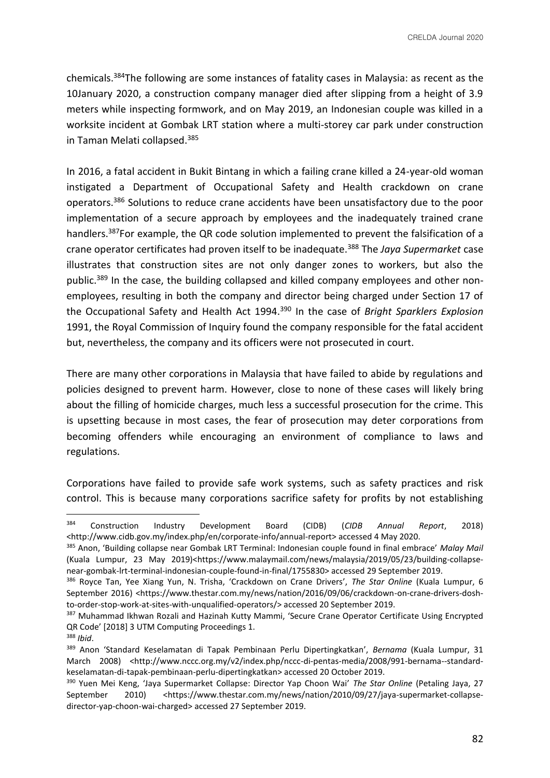chemicals.<sup>384</sup>The following are some instances of fatality cases in Malaysia: as recent as the 10January 2020, a construction company manager died after slipping from a height of 3.9 meters while inspecting formwork, and on May 2019, an Indonesian couple was killed in a worksite incident at Gombak LRT station where a multi-storey car park under construction in Taman Melati collapsed.<sup>385</sup>

In 2016, a fatal accident in Bukit Bintang in which a failing crane killed a 24-year-old woman instigated a Department of Occupational Safety and Health crackdown on crane operators.<sup>386</sup> Solutions to reduce crane accidents have been unsatisfactory due to the poor implementation of a secure approach by employees and the inadequately trained crane handlers.<sup>387</sup>For example, the QR code solution implemented to prevent the falsification of a crane operator certificates had proven itself to be inadequate.<sup>388</sup> The *Jaya Supermarket* case illustrates that construction sites are not only danger zones to workers, but also the public.<sup>389</sup> In the case, the building collapsed and killed company employees and other nonemployees, resulting in both the company and director being charged under Section 17 of the Occupational Safety and Health Act 1994.<sup>390</sup> In the case of *Bright Sparklers Explosion* 1991, the Royal Commission of Inquiry found the company responsible for the fatal accident but, nevertheless, the company and its officers were not prosecuted in court.

There are many other corporations in Malaysia that have failed to abide by regulations and policies designed to prevent harm. However, close to none of these cases will likely bring about the filling of homicide charges, much less a successful prosecution for the crime. This is upsetting because in most cases, the fear of prosecution may deter corporations from becoming offenders while encouraging an environment of compliance to laws and regulations.

Corporations have failed to provide safe work systems, such as safety practices and risk control. This is because many corporations sacrifice safety for profits by not establishing

<sup>384</sup> Construction Industry Development Board (CIDB) (*CIDB Annual Report*, 2018) <http://www.cidb.gov.my/index.php/en/corporate-info/annual-report> accessed 4 May 2020.

<sup>385</sup> Anon, 'Building collapse near Gombak LRT Terminal: Indonesian couple found in final embrace' *Malay Mail* (Kuala Lumpur, 23 May 2019)<https://www.malaymail.com/news/malaysia/2019/05/23/building-collapsenear-gombak-lrt-terminal-indonesian-couple-found-in-final/1755830> accessed 29 September 2019.

<sup>386</sup> Royce Tan, Yee Xiang Yun, N. Trisha, 'Crackdown on Crane Drivers', *The Star Online* (Kuala Lumpur, 6 September 2016) <https://www.thestar.com.my/news/nation/2016/09/06/crackdown-on-crane-drivers-doshto-order-stop-work-at-sites-with-unqualified-operators/> accessed 20 September 2019.

<sup>387</sup> Muhammad Ikhwan Rozali and Hazinah Kutty Mammi, 'Secure Crane Operator Certificate Using Encrypted QR Code' [2018] 3 UTM Computing Proceedings 1.

<sup>388</sup> *Ibid*.

<sup>389</sup> Anon 'Standard Keselamatan di Tapak Pembinaan Perlu Dipertingkatkan', *Bernama* (Kuala Lumpur, 31 March 2008) <http://www.nccc.org.my/v2/index.php/nccc-di-pentas-media/2008/991-bernama--standardkeselamatan-di-tapak-pembinaan-perlu-dipertingkatkan> accessed 20 October 2019.

<sup>390</sup> Yuen Mei Keng, 'Jaya Supermarket Collapse: Director Yap Choon Wai' *The Star Online* (Petaling Jaya, 27 September 2010) <https://www.thestar.com.my/news/nation/2010/09/27/jaya-supermarket-collapsedirector-yap-choon-wai-charged> accessed 27 September 2019.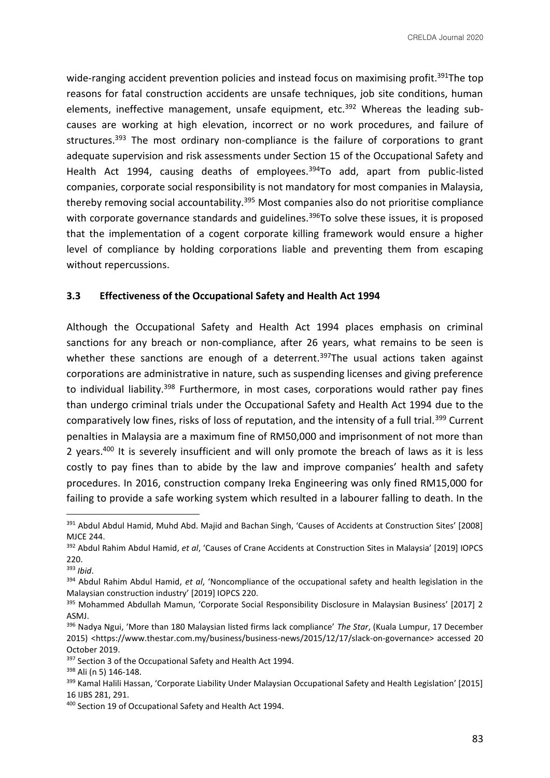wide-ranging accident prevention policies and instead focus on maximising profit.<sup>391</sup>The top reasons for fatal construction accidents are unsafe techniques, job site conditions, human elements, ineffective management, unsafe equipment, etc.<sup>392</sup> Whereas the leading subcauses are working at high elevation, incorrect or no work procedures, and failure of structures.<sup>393</sup> The most ordinary non-compliance is the failure of corporations to grant adequate supervision and risk assessments under Section 15 of the Occupational Safety and Health Act 1994, causing deaths of employees.<sup>394</sup>To add, apart from public-listed companies, corporate social responsibility is not mandatory for most companies in Malaysia, thereby removing social accountability.<sup>395</sup> Most companies also do not prioritise compliance with corporate governance standards and guidelines.<sup>396</sup>To solve these issues, it is proposed that the implementation of a cogent corporate killing framework would ensure a higher level of compliance by holding corporations liable and preventing them from escaping without repercussions.

### **3.3 Effectiveness of the Occupational Safety and Health Act 1994**

Although the Occupational Safety and Health Act 1994 places emphasis on criminal sanctions for any breach or non-compliance, after 26 years, what remains to be seen is whether these sanctions are enough of a deterrent.<sup>397</sup>The usual actions taken against corporations are administrative in nature, such as suspending licenses and giving preference to individual liability.<sup>398</sup> Furthermore, in most cases, corporations would rather pay fines than undergo criminal trials under the Occupational Safety and Health Act 1994 due to the comparatively low fines, risks of loss of reputation, and the intensity of a full trial.<sup>399</sup> Current penalties in Malaysia are a maximum fine of RM50,000 and imprisonment of not more than 2 years.<sup>400</sup> It is severely insufficient and will only promote the breach of laws as it is less costly to pay fines than to abide by the law and improve companies' health and safety procedures. In 2016, construction company Ireka Engineering was only fined RM15,000 for failing to provide a safe working system which resulted in a labourer falling to death. In the

<sup>&</sup>lt;sup>391</sup> Abdul Abdul Hamid, Muhd Abd. Majid and Bachan Singh, 'Causes of Accidents at Construction Sites' [2008] MJCE 244.

<sup>392</sup> Abdul Rahim Abdul Hamid, *et al*, 'Causes of Crane Accidents at Construction Sites in Malaysia' [2019] IOPCS 220.

<sup>393</sup> *Ibid*.

<sup>394</sup> Abdul Rahim Abdul Hamid, *et al*, 'Noncompliance of the occupational safety and health legislation in the Malaysian construction industry' [2019] IOPCS 220.

<sup>395</sup> Mohammed Abdullah Mamun, 'Corporate Social Responsibility Disclosure in Malaysian Business' [2017] 2 ASMJ.

<sup>396</sup> Nadya Ngui, 'More than 180 Malaysian listed firms lack compliance' *The Star*, (Kuala Lumpur, 17 December 2015) <https://www.thestar.com.my/business/business-news/2015/12/17/slack-on-governance> accessed 20 October 2019.

<sup>&</sup>lt;sup>397</sup> Section 3 of the Occupational Safety and Health Act 1994.

<sup>398</sup> Ali (n 5) 146-148.

<sup>&</sup>lt;sup>399</sup> Kamal Halili Hassan, 'Corporate Liability Under Malaysian Occupational Safety and Health Legislation' [2015] 16 IJBS 281, 291.

<sup>400</sup> Section 19 of Occupational Safety and Health Act 1994.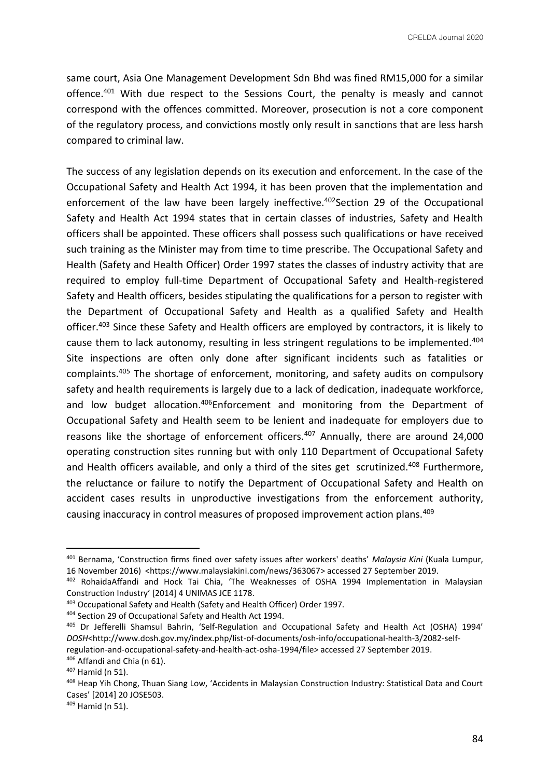same court, Asia One Management Development Sdn Bhd was fined RM15,000 for a similar offence.<sup>401</sup> With due respect to the Sessions Court, the penalty is measly and cannot correspond with the offences committed. Moreover, prosecution is not a core component of the regulatory process, and convictions mostly only result in sanctions that are less harsh compared to criminal law.

The success of any legislation depends on its execution and enforcement. In the case of the Occupational Safety and Health Act 1994, it has been proven that the implementation and enforcement of the law have been largely ineffective.<sup>402</sup>Section 29 of the Occupational Safety and Health Act 1994 states that in certain classes of industries, Safety and Health officers shall be appointed. These officers shall possess such qualifications or have received such training as the Minister may from time to time prescribe. The Occupational Safety and Health (Safety and Health Officer) Order 1997 states the classes of industry activity that are required to employ full-time Department of Occupational Safety and Health-registered Safety and Health officers, besides stipulating the qualifications for a person to register with the Department of Occupational Safety and Health as a qualified Safety and Health officer.<sup>403</sup> Since these Safety and Health officers are employed by contractors, it is likely to cause them to lack autonomy, resulting in less stringent regulations to be implemented.<sup>404</sup> Site inspections are often only done after significant incidents such as fatalities or complaints.<sup>405</sup> The shortage of enforcement, monitoring, and safety audits on compulsory safety and health requirements is largely due to a lack of dedication, inadequate workforce, and low budget allocation.<sup>406</sup>Enforcement and monitoring from the Department of Occupational Safety and Health seem to be lenient and inadequate for employers due to reasons like the shortage of enforcement officers.<sup>407</sup> Annually, there are around 24,000 operating construction sites running but with only 110 Department of Occupational Safety and Health officers available, and only a third of the sites get scrutinized.<sup>408</sup> Furthermore, the reluctance or failure to notify the Department of Occupational Safety and Health on accident cases results in unproductive investigations from the enforcement authority, causing inaccuracy in control measures of proposed improvement action plans.<sup>409</sup>

<sup>401</sup> Bernama, 'Construction firms fined over safety issues after workers' deaths' *Malaysia Kini* (Kuala Lumpur, 16 November 2016) <https://www.malaysiakini.com/news/363067> accessed 27 September 2019.

<sup>402</sup> RohaidaAffandi and Hock Tai Chia, 'The Weaknesses of OSHA 1994 Implementation in Malaysian Construction Industry' [2014] 4 UNIMAS JCE 1178.

<sup>403</sup> Occupational Safety and Health (Safety and Health Officer) Order 1997.

<sup>404</sup> Section 29 of Occupational Safety and Health Act 1994.

<sup>405</sup> Dr Jefferelli Shamsul Bahrin, 'Self-Regulation and Occupational Safety and Health Act (OSHA) 1994' *DOSH*<http://www.dosh.gov.my/index.php/list-of-documents/osh-info/occupational-health-3/2082-selfregulation-and-occupational-safety-and-health-act-osha-1994/file> accessed 27 September 2019. <sup>406</sup> Affandi and Chia (n 61).

<sup>407</sup> Hamid (n 51).

<sup>408</sup> Heap Yih Chong, Thuan Siang Low, 'Accidents in Malaysian Construction Industry: Statistical Data and Court Cases' [2014] 20 JOSE503.

<sup>409</sup> Hamid (n 51).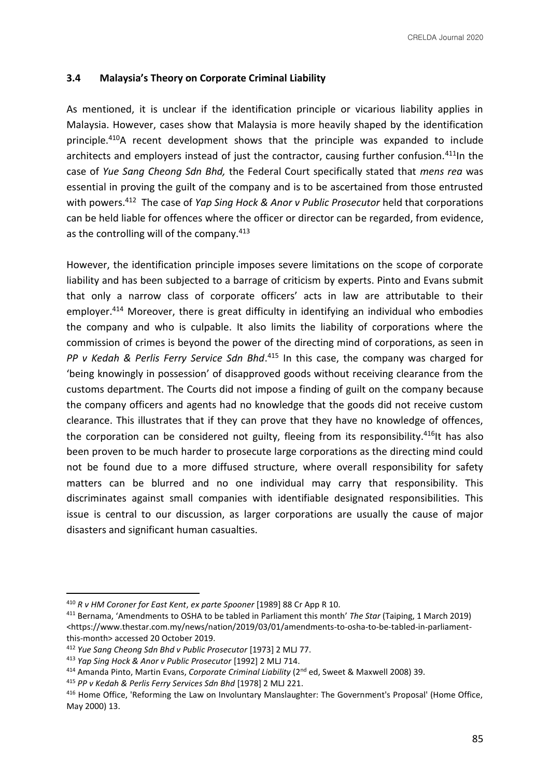## **3.4 Malaysia's Theory on Corporate Criminal Liability**

As mentioned, it is unclear if the identification principle or vicarious liability applies in Malaysia. However, cases show that Malaysia is more heavily shaped by the identification principle.<sup>410</sup>A recent development shows that the principle was expanded to include architects and employers instead of just the contractor, causing further confusion.<sup>411</sup>In the case of *Yue Sang Cheong Sdn Bhd,* the Federal Court specifically stated that *mens rea* was essential in proving the guilt of the company and is to be ascertained from those entrusted with powers.<sup>412</sup> The case of *Yap Sing Hock & Anor v Public Prosecutor* held that corporations can be held liable for offences where the officer or director can be regarded, from evidence, as the controlling will of the company.<sup>413</sup>

However, the identification principle imposes severe limitations on the scope of corporate liability and has been subjected to a barrage of criticism by experts. Pinto and Evans submit that only a narrow class of corporate officers' acts in law are attributable to their employer.<sup>414</sup> Moreover, there is great difficulty in identifying an individual who embodies the company and who is culpable. It also limits the liability of corporations where the commission of crimes is beyond the power of the directing mind of corporations, as seen in *PP v Kedah & Perlis Ferry Service Sdn Bhd*. <sup>415</sup> In this case, the company was charged for 'being knowingly in possession' of disapproved goods without receiving clearance from the customs department. The Courts did not impose a finding of guilt on the company because the company officers and agents had no knowledge that the goods did not receive custom clearance. This illustrates that if they can prove that they have no knowledge of offences, the corporation can be considered not guilty, fleeing from its responsibility.<sup>416</sup>It has also been proven to be much harder to prosecute large corporations as the directing mind could not be found due to a more diffused structure, where overall responsibility for safety matters can be blurred and no one individual may carry that responsibility. This discriminates against small companies with identifiable designated responsibilities. This issue is central to our discussion, as larger corporations are usually the cause of major disasters and significant human casualties.

<sup>410</sup> *R v HM Coroner for East Kent*, *ex parte Spooner* [1989] 88 Cr App R 10.

<sup>411</sup> Bernama, 'Amendments to OSHA to be tabled in Parliament this month' *The Star* (Taiping, 1 March 2019) <https://www.thestar.com.my/news/nation/2019/03/01/amendments-to-osha-to-be-tabled-in-parliamentthis-month> accessed 20 October 2019.

<sup>412</sup> *Yue Sang Cheong Sdn Bhd v Public Prosecutor* [1973] 2 MLJ 77.

<sup>413</sup> *Yap Sing Hock & Anor v Public Prosecutor* [1992] 2 MLJ 714.

<sup>&</sup>lt;sup>414</sup> Amanda Pinto, Martin Evans, *Corporate Criminal Liability* (2<sup>nd</sup> ed, Sweet & Maxwell 2008) 39.

<sup>415</sup> *PP v Kedah & Perlis Ferry Services Sdn Bhd* [1978] 2 MLJ 221.

<sup>416</sup> Home Office, 'Reforming the Law on Involuntary Manslaughter: The Government's Proposal' (Home Office, May 2000) 13.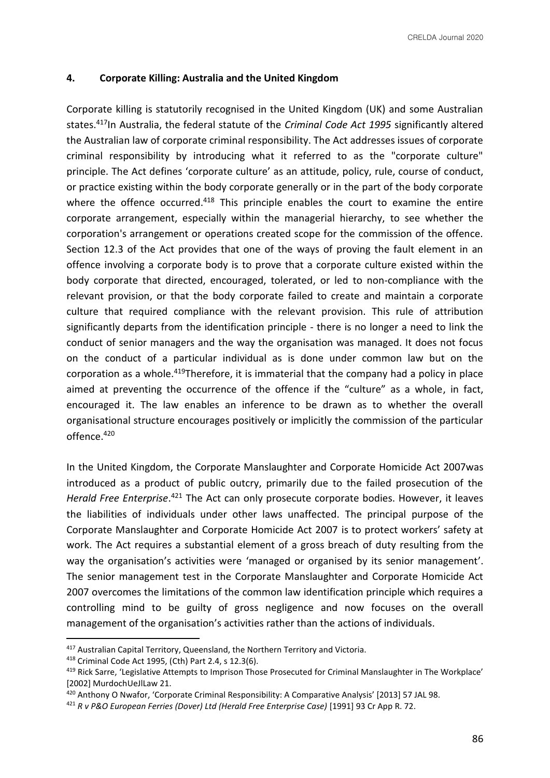## **4. Corporate Killing: Australia and the United Kingdom**

Corporate killing is statutorily recognised in the United Kingdom (UK) and some Australian states.<sup>417</sup>In Australia, the federal statute of the *Criminal Code Act 1995* significantly altered the Australian law of corporate criminal responsibility. The Act addresses issues of corporate criminal responsibility by introducing what it referred to as the "corporate culture" principle. The Act defines 'corporate culture' as an attitude, policy, rule, course of conduct, or practice existing within the body corporate generally or in the part of the body corporate where the offence occurred.<sup>418</sup> This principle enables the court to examine the entire corporate arrangement, especially within the managerial hierarchy, to see whether the corporation's arrangement or operations created scope for the commission of the offence. Section 12.3 of the Act provides that one of the ways of proving the fault element in an offence involving a corporate body is to prove that a corporate culture existed within the body corporate that directed, encouraged, tolerated, or led to non-compliance with the relevant provision, or that the body corporate failed to create and maintain a corporate culture that required compliance with the relevant provision. This rule of attribution significantly departs from the identification principle - there is no longer a need to link the conduct of senior managers and the way the organisation was managed. It does not focus on the conduct of a particular individual as is done under common law but on the corporation as a whole.<sup>419</sup>Therefore, it is immaterial that the company had a policy in place aimed at preventing the occurrence of the offence if the "culture" as a whole, in fact, encouraged it. The law enables an inference to be drawn as to whether the overall organisational structure encourages positively or implicitly the commission of the particular offence.<sup>420</sup>

In the United Kingdom, the Corporate Manslaughter and Corporate Homicide Act 2007was introduced as a product of public outcry, primarily due to the failed prosecution of the Herald Free Enterprise.<sup>421</sup> The Act can only prosecute corporate bodies. However, it leaves the liabilities of individuals under other laws unaffected. The principal purpose of the Corporate Manslaughter and Corporate Homicide Act 2007 is to protect workers' safety at work. The Act requires a substantial element of a gross breach of duty resulting from the way the organisation's activities were 'managed or organised by its senior management'. The senior management test in the Corporate Manslaughter and Corporate Homicide Act 2007 overcomes the limitations of the common law identification principle which requires a controlling mind to be guilty of gross negligence and now focuses on the overall management of the organisation's activities rather than the actions of individuals.

<sup>418</sup> Criminal Code Act 1995, (Cth) Part 2.4, s 12.3(6).

<sup>417</sup> Australian Capital Territory, Queensland, the Northern Territory and Victoria.

<sup>419</sup> Rick Sarre, 'Legislative Attempts to Imprison Those Prosecuted for Criminal Manslaughter in The Workplace' [2002] MurdochUeJlLaw 21.

<sup>420</sup> Anthony O Nwafor, 'Corporate Criminal Responsibility: A Comparative Analysis' [2013] 57 JAL 98.

<sup>&</sup>lt;sup>421</sup> R v P&O European Ferries (Dover) Ltd (Herald Free Enterprise Case) [1991] 93 Cr App R. 72.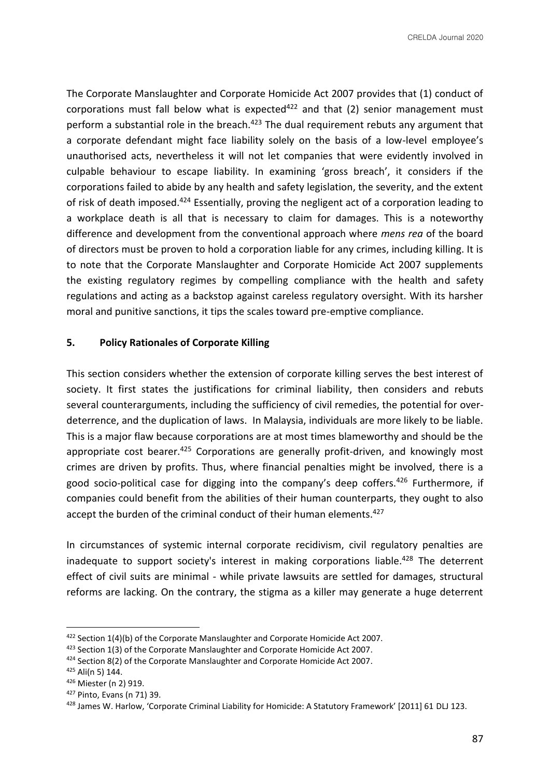The Corporate Manslaughter and Corporate Homicide Act 2007 provides that (1) conduct of corporations must fall below what is expected<sup>422</sup> and that (2) senior management must perform a substantial role in the breach.<sup>423</sup> The dual requirement rebuts any argument that a corporate defendant might face liability solely on the basis of a low-level employee's unauthorised acts, nevertheless it will not let companies that were evidently involved in culpable behaviour to escape liability. In examining 'gross breach', it considers if the corporations failed to abide by any health and safety legislation, the severity, and the extent of risk of death imposed.<sup>424</sup> Essentially, proving the negligent act of a corporation leading to a workplace death is all that is necessary to claim for damages. This is a noteworthy difference and development from the conventional approach where *mens rea* of the board of directors must be proven to hold a corporation liable for any crimes, including killing. It is to note that the Corporate Manslaughter and Corporate Homicide Act 2007 supplements the existing regulatory regimes by compelling compliance with the health and safety regulations and acting as a backstop against careless regulatory oversight. With its harsher moral and punitive sanctions, it tips the scales toward pre-emptive compliance.

#### **5. Policy Rationales of Corporate Killing**

This section considers whether the extension of corporate killing serves the best interest of society. It first states the justifications for criminal liability, then considers and rebuts several counterarguments, including the sufficiency of civil remedies, the potential for overdeterrence, and the duplication of laws. In Malaysia, individuals are more likely to be liable. This is a major flaw because corporations are at most times blameworthy and should be the appropriate cost bearer. $425$  Corporations are generally profit-driven, and knowingly most crimes are driven by profits. Thus, where financial penalties might be involved, there is a good socio-political case for digging into the company's deep coffers.<sup>426</sup> Furthermore, if companies could benefit from the abilities of their human counterparts, they ought to also accept the burden of the criminal conduct of their human elements.<sup>427</sup>

In circumstances of systemic internal corporate recidivism, civil regulatory penalties are inadequate to support society's interest in making corporations liable.<sup>428</sup> The deterrent effect of civil suits are minimal - while private lawsuits are settled for damages, structural reforms are lacking. On the contrary, the stigma as a killer may generate a huge deterrent

<sup>422</sup> Section 1(4)(b) of the Corporate Manslaughter and Corporate Homicide Act 2007.

<sup>423</sup> Section 1(3) of the Corporate Manslaughter and Corporate Homicide Act 2007.

<sup>424</sup> Section 8(2) of the Corporate Manslaughter and Corporate Homicide Act 2007.

<sup>425</sup> Ali(n 5) 144.

<sup>426</sup> Miester (n 2) 919.

<sup>427</sup> Pinto, Evans (n 71) 39.

<sup>428</sup> James W. Harlow, 'Corporate Criminal Liability for Homicide: A Statutory Framework' [2011] 61 DLJ 123.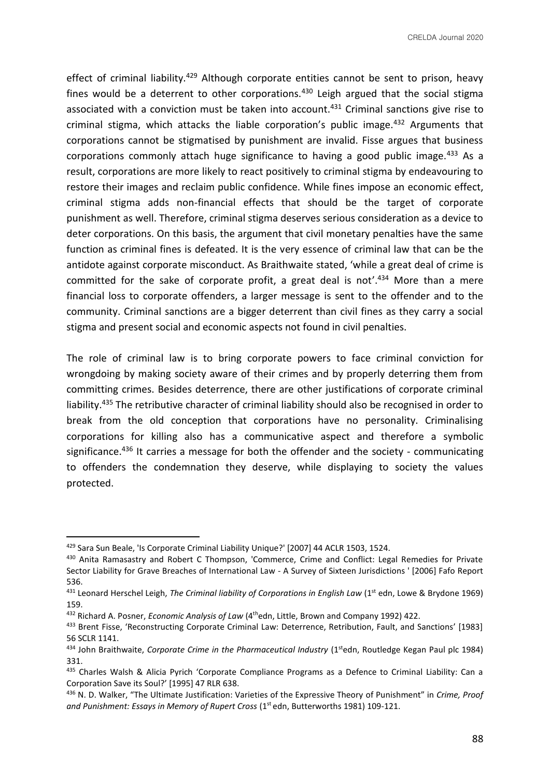CRELDA Journal 2020

effect of criminal liability.<sup>429</sup> Although corporate entities cannot be sent to prison, heavy fines would be a deterrent to other corporations. $430$  Leigh argued that the social stigma associated with a conviction must be taken into account.<sup>431</sup> Criminal sanctions give rise to criminal stigma, which attacks the liable corporation's public image.<sup>432</sup> Arguments that corporations cannot be stigmatised by punishment are invalid. Fisse argues that business corporations commonly attach huge significance to having a good public image.<sup>433</sup> As a result, corporations are more likely to react positively to criminal stigma by endeavouring to restore their images and reclaim public confidence. While fines impose an economic effect, criminal stigma adds non-financial effects that should be the target of corporate punishment as well. Therefore, criminal stigma deserves serious consideration as a device to deter corporations. On this basis, the argument that civil monetary penalties have the same function as criminal fines is defeated. It is the very essence of criminal law that can be the antidote against corporate misconduct. As Braithwaite stated, 'while a great deal of crime is committed for the sake of corporate profit, a great deal is not'.<sup>434</sup> More than a mere financial loss to corporate offenders, a larger message is sent to the offender and to the community. Criminal sanctions are a bigger deterrent than civil fines as they carry a social stigma and present social and economic aspects not found in civil penalties.

The role of criminal law is to bring corporate powers to face criminal conviction for wrongdoing by making society aware of their crimes and by properly deterring them from committing crimes. Besides deterrence, there are other justifications of corporate criminal liability.<sup>435</sup> The retributive character of criminal liability should also be recognised in order to break from the old conception that corporations have no personality. Criminalising corporations for killing also has a communicative aspect and therefore a symbolic significance.<sup>436</sup> It carries a message for both the offender and the society - communicating to offenders the condemnation they deserve, while displaying to society the values protected.

<sup>429</sup> Sara Sun Beale, 'Is Corporate Criminal Liability Unique?' [2007] 44 ACLR 1503, 1524.

<sup>430</sup> Anita Ramasastry and Robert C Thompson, 'Commerce, Crime and Conflict: Legal Remedies for Private Sector Liability for Grave Breaches of International Law - A Survey of Sixteen Jurisdictions ' [2006] Fafo Report 536.

<sup>&</sup>lt;sup>431</sup> Leonard Herschel Leigh, *The Criminal liability of Corporations in English Law* (1<sup>st</sup> edn, Lowe & Brydone 1969) 159.

<sup>432</sup> Richard A. Posner, *Economic Analysis of Law* (4thedn, Little, Brown and Company 1992) 422.

<sup>433</sup> Brent Fisse, 'Reconstructing Corporate Criminal Law: Deterrence, Retribution, Fault, and Sanctions' [1983] 56 SCLR 1141.

<sup>&</sup>lt;sup>434</sup> John Braithwaite, *Corporate Crime in the Pharmaceutical Industry* (1<sup>st</sup>edn, Routledge Kegan Paul plc 1984) 331.

<sup>435</sup> Charles Walsh & Alicia Pyrich 'Corporate Compliance Programs as a Defence to Criminal Liability: Can a Corporation Save its Soul?' [1995] 47 RLR 638.

<sup>436</sup> N. D. Walker, "The Ultimate Justification: Varieties of the Expressive Theory of Punishment" in *Crime, Proof*  and Punishment: Essays in Memory of Rupert Cross (1<sup>st</sup> edn, Butterworths 1981) 109-121.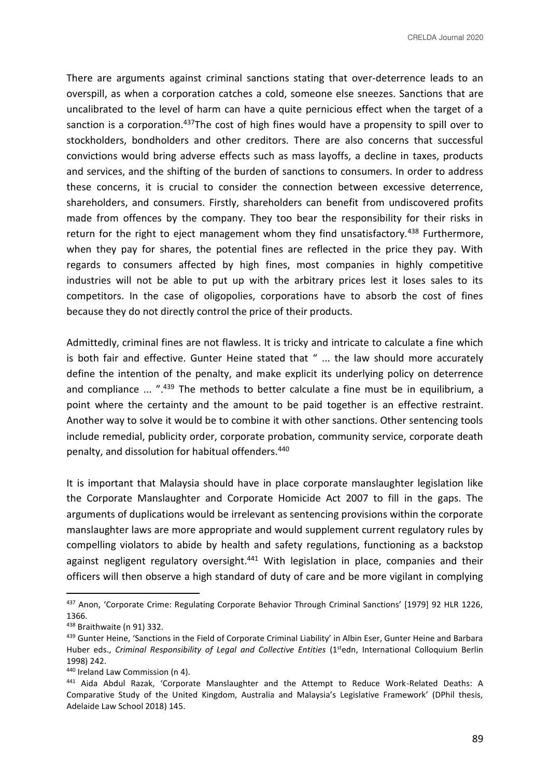CRELDA Journal 2020

There are arguments against criminal sanctions stating that over-deterrence leads to an overspill, as when a corporation catches a cold, someone else sneezes. Sanctions that are uncalibrated to the level of harm can have a quite pernicious effect when the target of a sanction is a corporation.<sup>437</sup>The cost of high fines would have a propensity to spill over to stockholders, bondholders and other creditors. There are also concerns that successful convictions would bring adverse effects such as mass layoffs, a decline in taxes, products and services, and the shifting of the burden of sanctions to consumers. In order to address these concerns, it is crucial to consider the connection between excessive deterrence, shareholders, and consumers. Firstly, shareholders can benefit from undiscovered profits made from offences by the company. They too bear the responsibility for their risks in return for the right to eject management whom they find unsatisfactory.<sup>438</sup> Furthermore, when they pay for shares, the potential fines are reflected in the price they pay. With regards to consumers affected by high fines, most companies in highly competitive industries will not be able to put up with the arbitrary prices lest it loses sales to its competitors. In the case of oligopolies, corporations have to absorb the cost of fines because they do not directly control the price of their products.

Admittedly, criminal fines are not flawless. It is tricky and intricate to calculate a fine which is both fair and effective. Gunter Heine stated that " ... the law should more accurately define the intention of the penalty, and make explicit its underlying policy on deterrence and compliance ... ".<sup>439</sup> The methods to better calculate a fine must be in equilibrium, a point where the certainty and the amount to be paid together is an effective restraint. Another way to solve it would be to combine it with other sanctions. Other sentencing tools include remedial, publicity order, corporate probation, community service, corporate death penalty, and dissolution for habitual offenders.<sup>440</sup>

It is important that Malaysia should have in place corporate manslaughter legislation like the Corporate Manslaughter and Corporate Homicide Act 2007 to fill in the gaps. The arguments of duplications would be irrelevant as sentencing provisions within the corporate manslaughter laws are more appropriate and would supplement current regulatory rules by compelling violators to abide by health and safety regulations, functioning as a backstop against negligent regulatory oversight.<sup>441</sup> With legislation in place, companies and their officers will then observe a high standard of duty of care and be more vigilant in complying

<sup>437</sup> Anon, 'Corporate Crime: Regulating Corporate Behavior Through Criminal Sanctions' [1979] 92 HLR 1226, 1366.

<sup>438</sup> Braithwaite (n 91) 332.

<sup>&</sup>lt;sup>439</sup> Gunter Heine, 'Sanctions in the Field of Corporate Criminal Liability' in Albin Eser, Gunter Heine and Barbara Huber eds., *Criminal Responsibility of Legal and Collective Entities* (1<sup>st</sup>edn, International Colloquium Berlin 1998) 242.

<sup>440</sup> Ireland Law Commission (n 4).

<sup>441</sup> Aida Abdul Razak, 'Corporate Manslaughter and the Attempt to Reduce Work-Related Deaths: A Comparative Study of the United Kingdom, Australia and Malaysia's Legislative Framework' (DPhil thesis, Adelaide Law School 2018) 145.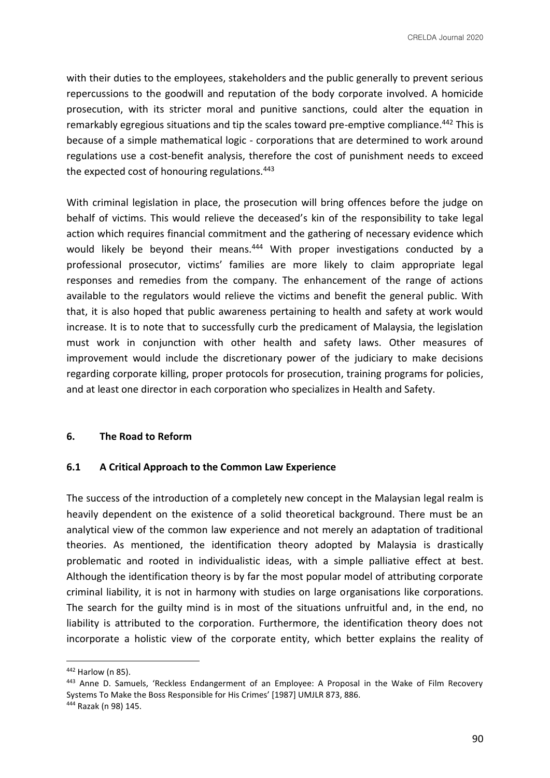with their duties to the employees, stakeholders and the public generally to prevent serious repercussions to the goodwill and reputation of the body corporate involved. A homicide prosecution, with its stricter moral and punitive sanctions, could alter the equation in remarkably egregious situations and tip the scales toward pre-emptive compliance.<sup>442</sup> This is because of a simple mathematical logic - corporations that are determined to work around regulations use a cost-benefit analysis, therefore the cost of punishment needs to exceed the expected cost of honouring regulations.<sup>443</sup>

With criminal legislation in place, the prosecution will bring offences before the judge on behalf of victims. This would relieve the deceased's kin of the responsibility to take legal action which requires financial commitment and the gathering of necessary evidence which would likely be beyond their means.<sup>444</sup> With proper investigations conducted by a professional prosecutor, victims' families are more likely to claim appropriate legal responses and remedies from the company. The enhancement of the range of actions available to the regulators would relieve the victims and benefit the general public. With that, it is also hoped that public awareness pertaining to health and safety at work would increase. It is to note that to successfully curb the predicament of Malaysia, the legislation must work in conjunction with other health and safety laws. Other measures of improvement would include the discretionary power of the judiciary to make decisions regarding corporate killing, proper protocols for prosecution, training programs for policies, and at least one director in each corporation who specializes in Health and Safety.

#### **6. The Road to Reform**

## **6.1 A Critical Approach to the Common Law Experience**

The success of the introduction of a completely new concept in the Malaysian legal realm is heavily dependent on the existence of a solid theoretical background. There must be an analytical view of the common law experience and not merely an adaptation of traditional theories. As mentioned, the identification theory adopted by Malaysia is drastically problematic and rooted in individualistic ideas, with a simple palliative effect at best. Although the identification theory is by far the most popular model of attributing corporate criminal liability, it is not in harmony with studies on large organisations like corporations. The search for the guilty mind is in most of the situations unfruitful and, in the end, no liability is attributed to the corporation. Furthermore, the identification theory does not incorporate a holistic view of the corporate entity, which better explains the reality of

<sup>442</sup> Harlow (n 85).

<sup>443</sup> Anne D. Samuels, 'Reckless Endangerment of an Employee: A Proposal in the Wake of Film Recovery Systems To Make the Boss Responsible for His Crimes' [1987] UMJLR 873, 886. <sup>444</sup> Razak (n 98) 145.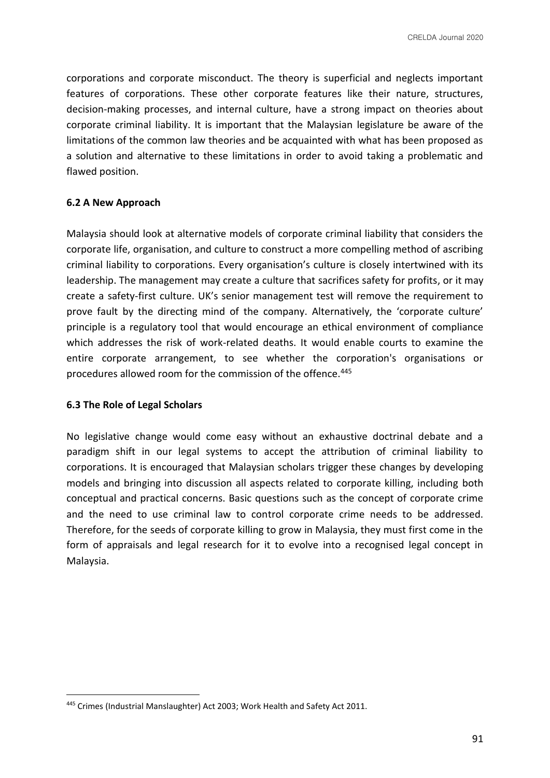corporations and corporate misconduct. The theory is superficial and neglects important features of corporations. These other corporate features like their nature, structures, decision-making processes, and internal culture, have a strong impact on theories about corporate criminal liability. It is important that the Malaysian legislature be aware of the limitations of the common law theories and be acquainted with what has been proposed as a solution and alternative to these limitations in order to avoid taking a problematic and flawed position.

### **6.2 A New Approach**

Malaysia should look at alternative models of corporate criminal liability that considers the corporate life, organisation, and culture to construct a more compelling method of ascribing criminal liability to corporations. Every organisation's culture is closely intertwined with its leadership. The management may create a culture that sacrifices safety for profits, or it may create a safety-first culture. UK's senior management test will remove the requirement to prove fault by the directing mind of the company. Alternatively, the 'corporate culture' principle is a regulatory tool that would encourage an ethical environment of compliance which addresses the risk of work-related deaths. It would enable courts to examine the entire corporate arrangement, to see whether the corporation's organisations or procedures allowed room for the commission of the offence.<sup>445</sup>

#### **6.3 The Role of Legal Scholars**

No legislative change would come easy without an exhaustive doctrinal debate and a paradigm shift in our legal systems to accept the attribution of criminal liability to corporations. It is encouraged that Malaysian scholars trigger these changes by developing models and bringing into discussion all aspects related to corporate killing, including both conceptual and practical concerns. Basic questions such as the concept of corporate crime and the need to use criminal law to control corporate crime needs to be addressed. Therefore, for the seeds of corporate killing to grow in Malaysia, they must first come in the form of appraisals and legal research for it to evolve into a recognised legal concept in Malaysia.

<sup>445</sup> Crimes (Industrial Manslaughter) Act 2003; Work Health and Safety Act 2011.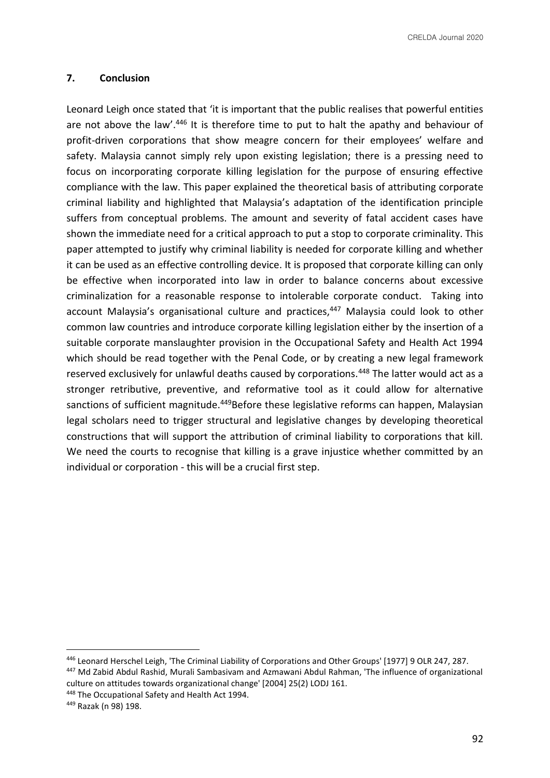### **7. Conclusion**

Leonard Leigh once stated that 'it is important that the public realises that powerful entities are not above the law'.<sup>446</sup> It is therefore time to put to halt the apathy and behaviour of profit-driven corporations that show meagre concern for their employees' welfare and safety. Malaysia cannot simply rely upon existing legislation; there is a pressing need to focus on incorporating corporate killing legislation for the purpose of ensuring effective compliance with the law. This paper explained the theoretical basis of attributing corporate criminal liability and highlighted that Malaysia's adaptation of the identification principle suffers from conceptual problems. The amount and severity of fatal accident cases have shown the immediate need for a critical approach to put a stop to corporate criminality. This paper attempted to justify why criminal liability is needed for corporate killing and whether it can be used as an effective controlling device. It is proposed that corporate killing can only be effective when incorporated into law in order to balance concerns about excessive criminalization for a reasonable response to intolerable corporate conduct. Taking into account Malaysia's organisational culture and practices,<sup>447</sup> Malaysia could look to other common law countries and introduce corporate killing legislation either by the insertion of a suitable corporate manslaughter provision in the Occupational Safety and Health Act 1994 which should be read together with the Penal Code, or by creating a new legal framework reserved exclusively for unlawful deaths caused by corporations.<sup>448</sup> The latter would act as a stronger retributive, preventive, and reformative tool as it could allow for alternative sanctions of sufficient magnitude.<sup>449</sup>Before these legislative reforms can happen, Malaysian legal scholars need to trigger structural and legislative changes by developing theoretical constructions that will support the attribution of criminal liability to corporations that kill. We need the courts to recognise that killing is a grave injustice whether committed by an individual or corporation - this will be a crucial first step.

<sup>446</sup> Leonard Herschel Leigh, 'The Criminal Liability of Corporations and Other Groups' [1977] 9 OLR 247, 287.

<sup>447</sup> Md Zabid Abdul Rashid, Murali Sambasivam and Azmawani Abdul Rahman, 'The influence of organizational culture on attitudes towards organizational change' [2004] 25(2) LODJ 161.

<sup>448</sup> The Occupational Safety and Health Act 1994.

<sup>449</sup> Razak (n 98) 198.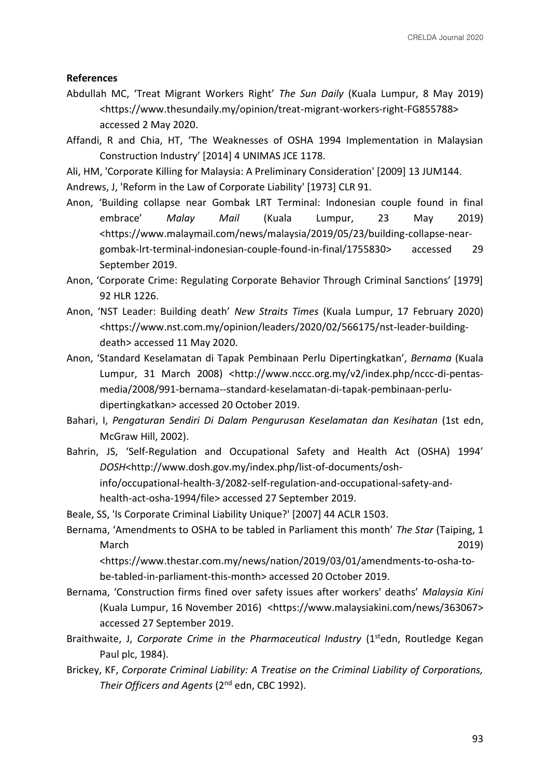#### **References**

- Abdullah MC, 'Treat Migrant Workers Right' *The Sun Daily* (Kuala Lumpur, 8 May 2019) <https://www.thesundaily.my/opinion/treat-migrant-workers-right-FG855788> accessed 2 May 2020.
- Affandi, R and Chia, HT, 'The Weaknesses of OSHA 1994 Implementation in Malaysian Construction Industry' [2014] 4 UNIMAS JCE 1178.

Ali, HM, 'Corporate Killing for Malaysia: A Preliminary Consideration' [2009] 13 JUM144.

Andrews, J, 'Reform in the Law of Corporate Liability' [1973] CLR 91.

- Anon, 'Building collapse near Gombak LRT Terminal: Indonesian couple found in final embrace' *Malay Mail* (Kuala Lumpur, 23 May 2019) <https://www.malaymail.com/news/malaysia/2019/05/23/building-collapse-neargombak-lrt-terminal-indonesian-couple-found-in-final/1755830> accessed 29 September 2019.
- Anon, 'Corporate Crime: Regulating Corporate Behavior Through Criminal Sanctions' [1979] 92 HLR 1226.
- Anon, 'NST Leader: Building death' *New Straits Times* (Kuala Lumpur, 17 February 2020) <https://www.nst.com.my/opinion/leaders/2020/02/566175/nst-leader-buildingdeath> accessed 11 May 2020.
- Anon, 'Standard Keselamatan di Tapak Pembinaan Perlu Dipertingkatkan', *Bernama* (Kuala Lumpur, 31 March 2008) <http://www.nccc.org.my/v2/index.php/nccc-di-pentasmedia/2008/991-bernama--standard-keselamatan-di-tapak-pembinaan-perludipertingkatkan> accessed 20 October 2019.
- Bahari, I, *Pengaturan Sendiri Di Dalam Pengurusan Keselamatan dan Kesihatan* (1st edn, McGraw Hill, 2002).
- Bahrin, JS, 'Self-Regulation and Occupational Safety and Health Act (OSHA) 1994' *DOSH*<http://www.dosh.gov.my/index.php/list-of-documents/oshinfo/occupational-health-3/2082-self-regulation-and-occupational-safety-andhealth-act-osha-1994/file> accessed 27 September 2019.

Beale, SS, 'Is Corporate Criminal Liability Unique?' [2007] 44 ACLR 1503.

Bernama, 'Amendments to OSHA to be tabled in Parliament this month' *The Star* (Taiping, 1 March 2019)

<https://www.thestar.com.my/news/nation/2019/03/01/amendments-to-osha-tobe-tabled-in-parliament-this-month> accessed 20 October 2019.

- Bernama, 'Construction firms fined over safety issues after workers' deaths' *Malaysia Kini* (Kuala Lumpur, 16 November 2016) <https://www.malaysiakini.com/news/363067> accessed 27 September 2019.
- Braithwaite, J, *Corporate Crime in the Pharmaceutical Industry* (1<sup>st</sup>edn, Routledge Kegan Paul plc, 1984).
- Brickey, KF, *Corporate Criminal Liability: A Treatise on the Criminal Liability of Corporations, Their Officers and Agents* (2nd edn, CBC 1992).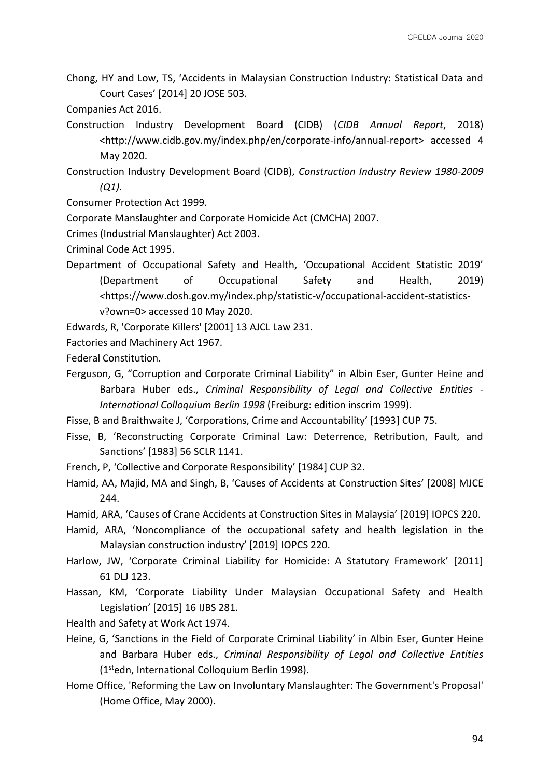- Chong, HY and Low, TS, 'Accidents in Malaysian Construction Industry: Statistical Data and Court Cases' [2014] 20 JOSE 503.
- Companies Act 2016.
- Construction Industry Development Board (CIDB) (*CIDB Annual Report*, 2018) <http://www.cidb.gov.my/index.php/en/corporate-info/annual-report> accessed 4 May 2020.

Construction Industry Development Board (CIDB), *Construction Industry Review 1980-2009 (Q1).*

Consumer Protection Act 1999.

Corporate Manslaughter and Corporate Homicide Act (CMCHA) 2007.

Crimes (Industrial Manslaughter) Act 2003.

Criminal Code Act 1995.

Department of Occupational Safety and Health, 'Occupational Accident Statistic 2019' (Department of Occupational Safety and Health, 2019) *<*https://www.dosh.gov.my/index.php/statistic-v/occupational-accident-statisticsv?own=0> accessed 10 May 2020.

Edwards, R, 'Corporate Killers' [2001] 13 AJCL Law 231.

Factories and Machinery Act 1967.

Federal Constitution.

- Ferguson, G, "Corruption and Corporate Criminal Liability" in Albin Eser, Gunter Heine and Barbara Huber eds., *Criminal Responsibility of Legal and Collective Entities* - *International Colloquium Berlin 1998* (Freiburg: edition inscrim 1999).
- Fisse, B and Braithwaite J, 'Corporations, Crime and Accountability' [1993] CUP 75.
- Fisse, B, 'Reconstructing Corporate Criminal Law: Deterrence, Retribution, Fault, and Sanctions' [1983] 56 SCLR 1141.
- French, P, 'Collective and Corporate Responsibility' [1984] CUP 32.
- Hamid, AA, Majid, MA and Singh, B, 'Causes of Accidents at Construction Sites' [2008] MJCE 244.
- Hamid, ARA, 'Causes of Crane Accidents at Construction Sites in Malaysia' [2019] IOPCS 220.
- Hamid, ARA, 'Noncompliance of the occupational safety and health legislation in the Malaysian construction industry' [2019] IOPCS 220.
- Harlow, JW, 'Corporate Criminal Liability for Homicide: A Statutory Framework' [2011] 61 DLJ 123.
- Hassan, KM, 'Corporate Liability Under Malaysian Occupational Safety and Health Legislation' [2015] 16 IJBS 281.

Health and Safety at Work Act 1974.

- Heine, G, 'Sanctions in the Field of Corporate Criminal Liability' in Albin Eser, Gunter Heine and Barbara Huber eds., *Criminal Responsibility of Legal and Collective Entities*  (1stedn, International Colloquium Berlin 1998).
- Home Office, 'Reforming the Law on Involuntary Manslaughter: The Government's Proposal' (Home Office, May 2000).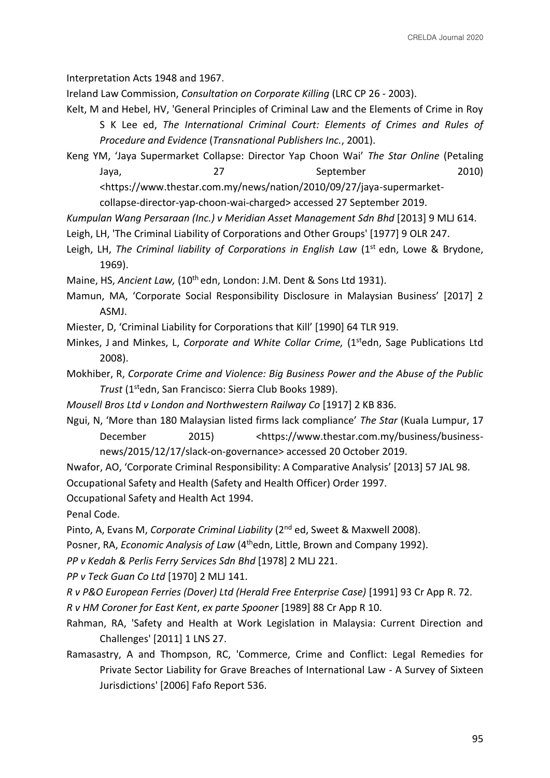Interpretation Acts 1948 and 1967.

Ireland Law Commission, *Consultation on Corporate Killing* (LRC CP 26 - 2003).

- Kelt, M and Hebel, HV, 'General Principles of Criminal Law and the Elements of Crime in Roy S K Lee ed, *The International Criminal Court: Elements of Crimes and Rules of Procedure and Evidence* (*Transnational Publishers Inc.*, 2001).
- Keng YM, 'Jaya Supermarket Collapse: Director Yap Choon Wai' *The Star Online* (Petaling Jaya, 27 September 2010) <https://www.thestar.com.my/news/nation/2010/09/27/jaya-supermarket-

collapse-director-yap-choon-wai-charged> accessed 27 September 2019.

*Kumpulan Wang Persaraan (Inc.) v Meridian Asset Management Sdn Bhd* [2013] 9 MLJ 614.

- Leigh, LH, 'The Criminal Liability of Corporations and Other Groups' [1977] 9 OLR 247.
- Leigh, LH, The Criminal liability of Corporations in English Law (1<sup>st</sup> edn, Lowe & Brydone, 1969).

Maine, HS, *Ancient Law*, (10<sup>th</sup> edn, London: J.M. Dent & Sons Ltd 1931).

- Mamun, MA, 'Corporate Social Responsibility Disclosure in Malaysian Business' [2017] 2 ASMJ.
- Miester, D, 'Criminal Liability for Corporations that Kill' [1990] 64 TLR 919.
- Minkes, J and Minkes, L, *Corporate and White Collar Crime*, (1<sup>st</sup>edn, Sage Publications Ltd 2008).
- Mokhiber, R, *Corporate Crime and Violence: Big Business Power and the Abuse of the Public Trust* (1stedn, San Francisco: Sierra Club Books 1989).
- *Mousell Bros Ltd v London and Northwestern Railway Co* [1917] 2 KB 836.
- Ngui, N, 'More than 180 Malaysian listed firms lack compliance' *The Star* (Kuala Lumpur, 17 December 2015) <https://www.thestar.com.my/business/businessnews/2015/12/17/slack-on-governance> accessed 20 October 2019.
- Nwafor, AO, 'Corporate Criminal Responsibility: A Comparative Analysis' [2013] 57 JAL 98. Occupational Safety and Health (Safety and Health Officer) Order 1997.

Occupational Safety and Health Act 1994.

Penal Code.

Pinto, A, Evans M, *Corporate Criminal Liability* (2nd ed, Sweet & Maxwell 2008).

Posner, RA, *Economic Analysis of Law* (4<sup>th</sup>edn, Little, Brown and Company 1992).

*PP v Kedah & Perlis Ferry Services Sdn Bhd* [1978] 2 MLJ 221.

*PP v Teck Guan Co Ltd* [1970] 2 MLJ 141.

*R v P&O European Ferries (Dover) Ltd (Herald Free Enterprise Case)* [1991] 93 Cr App R. 72.

- *R v HM Coroner for East Kent*, *ex parte Spooner* [1989] 88 Cr App R 10.
- Rahman, RA, 'Safety and Health at Work Legislation in Malaysia: Current Direction and Challenges' [2011] 1 LNS 27.
- Ramasastry, A and Thompson, RC, 'Commerce, Crime and Conflict: Legal Remedies for Private Sector Liability for Grave Breaches of International Law - A Survey of Sixteen Jurisdictions' [2006] Fafo Report 536.